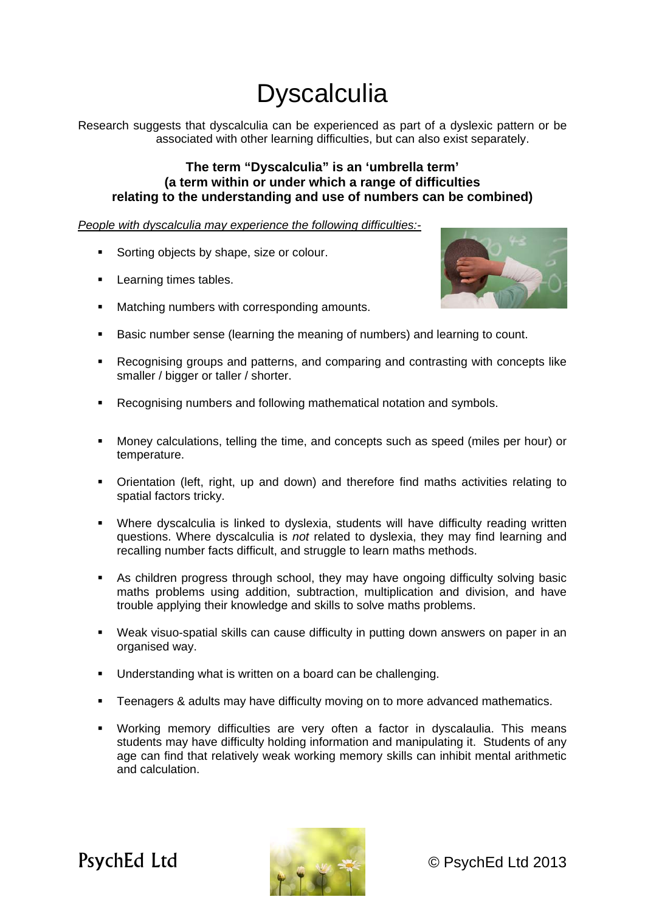## **Dyscalculia**

Research suggests that dyscalculia can be experienced as part of a dyslexic pattern or be associated with other learning difficulties, but can also exist separately.

## **The term "Dyscalculia" is an 'umbrella term' (a term within or under which a range of difficulties relating to the understanding and use of numbers can be combined)**

*People with dyscalculia may experience the following difficulties:-*

- Sorting objects by shape, size or colour.
- **Learning times tables.**
- **Matching numbers with corresponding amounts.**



- Basic number sense (learning the meaning of numbers) and learning to count.
- Recognising groups and patterns, and comparing and contrasting with concepts like smaller / bigger or taller / shorter.
- Recognising numbers and following mathematical notation and symbols.
- Money calculations, telling the time, and concepts such as speed (miles per hour) or temperature.
- **•** Orientation (left, right, up and down) and therefore find maths activities relating to spatial factors tricky.
- Where dyscalculia is linked to dyslexia, students will have difficulty reading written questions. Where dyscalculia is *not* related to dyslexia, they may find learning and recalling number facts difficult, and struggle to learn maths methods.
- As children progress through school, they may have ongoing difficulty solving basic maths problems using addition, subtraction, multiplication and division, and have trouble applying their knowledge and skills to solve maths problems.
- Weak visuo-spatial skills can cause difficulty in putting down answers on paper in an organised way.
- Understanding what is written on a board can be challenging.
- Teenagers & adults may have difficulty moving on to more advanced mathematics.
- Working memory difficulties are very often a factor in dyscalaulia. This means students may have difficulty holding information and manipulating it. Students of any age can find that relatively weak working memory skills can inhibit mental arithmetic and calculation.